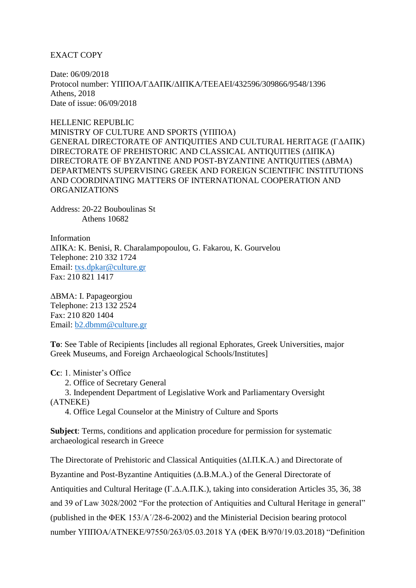EXACT COPY

Date: 06/09/2018 Protocol number: ΥΠΠΟΑ/ΓΔΑΠΚ/ΔΙΠΚΑ/ΤΕΕΑΕΙ/432596/309866/9548/1396 Athens, 2018 Date of issue: 06/09/2018

HELLENIC REPUBLIC MINISTRY OF CULTURE AND SPORTS (ΥΠΠΟΑ) GENERAL DIRECTORATE OF ANTIQUITIES AND CULTURAL HERITAGE (ΓΔΑΠΚ) DIRECTORATE OF PREHISTORIC AND CLASSICAL ANTIQUITIES (ΔΙΠΚΑ) DIRECTORATE OF BYZANTINE AND POST-BYZANTINE ANTIQUITIES (ΔΒΜΑ) DEPARTMENTS SUPERVISING GREEK AND FOREIGN SCIENTIFIC INSTITUTIONS AND COORDINATING MATTERS OF INTERNATIONAL COOPERATION AND ORGANIZATIONS

Address: 20-22 Bouboulinas St Athens 10682

Information ΔΠΚΑ: K. Benisi, R. Charalampopoulou, G. Fakarou, K. Gourvelou Telephone: 210 332 1724 Email: [txs.dpkar@culture.gr](mailto:txs.dpkar@culture.gr) Fax: 210 821 1417

ΔΒΜΑ: I. Papageorgiou Telephone: 213 132 2524 Fax: 210 820 1404 Email: [b2.dbmm@culture.gr](mailto:b2.dbmm@culture.gr)

**To**: See Table of Recipients [includes all regional Ephorates, Greek Universities, major Greek Museums, and Foreign Archaeological Schools/Institutes]

**Cc**: 1. Minister's Office

2. Office of Secretary General

 3. Independent Department of Legislative Work and Parliamentary Oversight (ΑΤΝΕΚΕ)

4. Office Legal Counselor at the Ministry of Culture and Sports

**Subject**: Terms, conditions and application procedure for permission for systematic archaeological research in Greece

The Directorate of Prehistoric and Classical Antiquities (ΔΙ.Π.Κ.Α.) and Directorate of Byzantine and Post-Byzantine Antiquities (Δ.Β.Μ.Α.) of the General Directorate of Antiquities and Cultural Heritage (Γ.Δ.Α.Π.Κ.), taking into consideration Articles 35, 36, 38 and 39 of Law 3028/2002 "For the protection of Antiquities and Cultural Heritage in general" (published in the ΦΕΚ 153/Α΄/28-6-2002) and the Ministerial Decision bearing protocol number ΥΠΠΟΑ/ΑΤΝΕΚΕ/97550/263/05.03.2018 ΥΑ (ΦΕΚ Β/970/19.03.2018) "Definition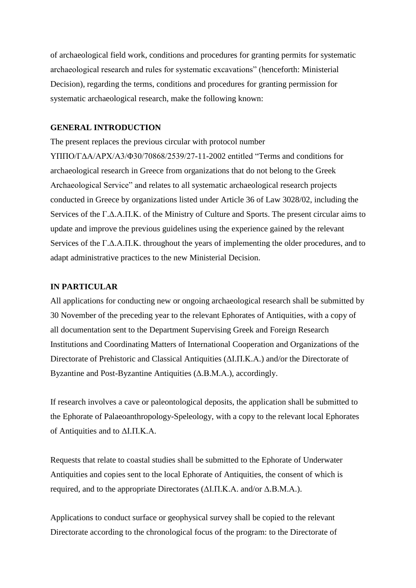of archaeological field work, conditions and procedures for granting permits for systematic archaeological research and rules for systematic excavations" (henceforth: Ministerial Decision), regarding the terms, conditions and procedures for granting permission for systematic archaeological research, make the following known:

#### **GENERAL INTRODUCTION**

The present replaces the previous circular with protocol number ΥΠΠΟ/ΓΔΑ/ΑΡΧ/Α3/Φ30/70868/2539/27-11-2002 entitled "Terms and conditions for archaeological research in Greece from organizations that do not belong to the Greek Archaeological Service" and relates to all systematic archaeological research projects conducted in Greece by organizations listed under Article 36 of Law 3028/02, including the Services of the Γ.Δ.Α.Π.Κ. of the Ministry of Culture and Sports. The present circular aims to update and improve the previous guidelines using the experience gained by the relevant Services of the Γ.Δ.Α.Π.Κ. throughout the years of implementing the older procedures, and to adapt administrative practices to the new Ministerial Decision.

#### **IN PARTICULAR**

All applications for conducting new or ongoing archaeological research shall be submitted by 30 November of the preceding year to the relevant Ephorates of Antiquities, with a copy of all documentation sent to the Department Supervising Greek and Foreign Research Institutions and Coordinating Matters of International Cooperation and Organizations of the Directorate of Prehistoric and Classical Antiquities (ΔΙ.Π.Κ.Α.) and/or the Directorate of Byzantine and Post-Byzantine Antiquities (Δ.Β.Μ.Α.), accordingly.

If research involves a cave or paleontological deposits, the application shall be submitted to the Ephorate of Palaeoanthropology-Speleology, with a copy to the relevant local Ephorates of Antiquities and to ΔΙ.Π.Κ.Α.

Requests that relate to coastal studies shall be submitted to the Ephorate of Underwater Antiquities and copies sent to the local Ephorate of Antiquities, the consent of which is required, and to the appropriate Directorates (ΔΙ.Π.Κ.Α. and/or Δ.Β.Μ.Α.).

Applications to conduct surface or geophysical survey shall be copied to the relevant Directorate according to the chronological focus of the program: to the Directorate of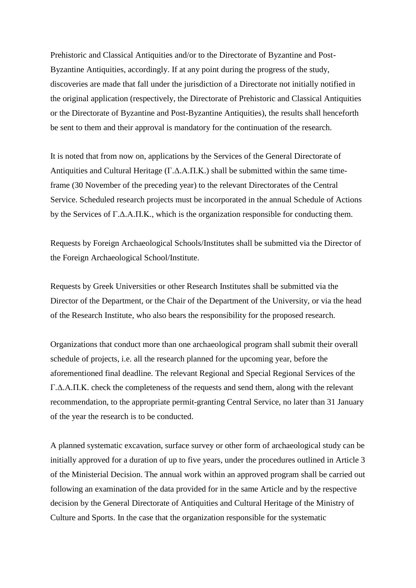Prehistoric and Classical Antiquities and/or to the Directorate of Byzantine and Post-Byzantine Antiquities, accordingly. If at any point during the progress of the study, discoveries are made that fall under the jurisdiction of a Directorate not initially notified in the original application (respectively, the Directorate of Prehistoric and Classical Antiquities or the Directorate of Byzantine and Post-Byzantine Antiquities), the results shall henceforth be sent to them and their approval is mandatory for the continuation of the research.

It is noted that from now on, applications by the Services of the General Directorate of Antiquities and Cultural Heritage (Γ.Δ.Α.Π.Κ.) shall be submitted within the same timeframe (30 November of the preceding year) to the relevant Directorates of the Central Service. Scheduled research projects must be incorporated in the annual Schedule of Actions by the Services of Γ.Δ.Α.Π.Κ., which is the organization responsible for conducting them.

Requests by Foreign Archaeological Schools/Institutes shall be submitted via the Director of the Foreign Archaeological School/Institute.

Requests by Greek Universities or other Research Institutes shall be submitted via the Director of the Department, or the Chair of the Department of the University, or via the head of the Research Institute, who also bears the responsibility for the proposed research.

Organizations that conduct more than one archaeological program shall submit their overall schedule of projects, i.e. all the research planned for the upcoming year, before the aforementioned final deadline. The relevant Regional and Special Regional Services of the Γ.Δ.Α.Π.Κ. check the completeness of the requests and send them, along with the relevant recommendation, to the appropriate permit-granting Central Service, no later than 31 January of the year the research is to be conducted.

A planned systematic excavation, surface survey or other form of archaeological study can be initially approved for a duration of up to five years, under the procedures outlined in Article 3 of the Ministerial Decision. The annual work within an approved program shall be carried out following an examination of the data provided for in the same Article and by the respective decision by the General Directorate of Antiquities and Cultural Heritage of the Ministry of Culture and Sports. In the case that the organization responsible for the systematic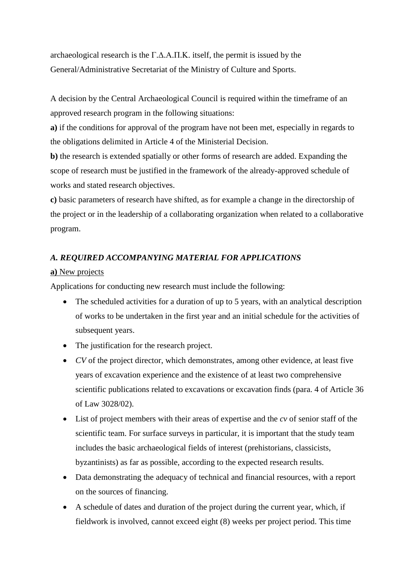archaeological research is the Γ.Δ.Α.Π.Κ. itself, the permit is issued by the General/Administrative Secretariat of the Ministry of Culture and Sports.

A decision by the Central Archaeological Council is required within the timeframe of an approved research program in the following situations:

**a)** if the conditions for approval of the program have not been met, especially in regards to the obligations delimited in Article 4 of the Ministerial Decision.

**b)** the research is extended spatially or other forms of research are added. Expanding the scope of research must be justified in the framework of the already-approved schedule of works and stated research objectives.

**c)** basic parameters of research have shifted, as for example a change in the directorship of the project or in the leadership of a collaborating organization when related to a collaborative program.

# *A. REQUIRED ACCOMPANYING MATERIAL FOR APPLICATIONS*

## **a)** New projects

Applications for conducting new research must include the following:

- The scheduled activities for a duration of up to 5 years, with an analytical description of works to be undertaken in the first year and an initial schedule for the activities of subsequent years.
- The justification for the research project.
- *CV* of the project director, which demonstrates, among other evidence, at least five years of excavation experience and the existence of at least two comprehensive scientific publications related to excavations or excavation finds (para. 4 of Article 36 of Law 3028/02).
- List of project members with their areas of expertise and the *cv* of senior staff of the scientific team. For surface surveys in particular, it is important that the study team includes the basic archaeological fields of interest (prehistorians, classicists, byzantinists) as far as possible, according to the expected research results.
- Data demonstrating the adequacy of technical and financial resources, with a report on the sources of financing.
- A schedule of dates and duration of the project during the current year, which, if fieldwork is involved, cannot exceed eight (8) weeks per project period. This time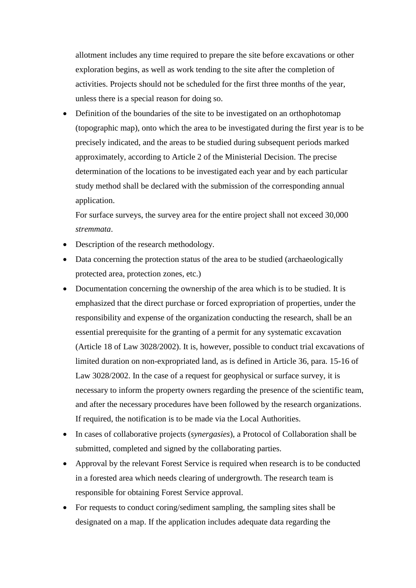allotment includes any time required to prepare the site before excavations or other exploration begins, as well as work tending to the site after the completion of activities. Projects should not be scheduled for the first three months of the year, unless there is a special reason for doing so.

• Definition of the boundaries of the site to be investigated on an orthophotomap (topographic map), onto which the area to be investigated during the first year is to be precisely indicated, and the areas to be studied during subsequent periods marked approximately, according to Article 2 of the Ministerial Decision. The precise determination of the locations to be investigated each year and by each particular study method shall be declared with the submission of the corresponding annual application.

For surface surveys, the survey area for the entire project shall not exceed 30,000 *stremmata*.

- Description of the research methodology.
- Data concerning the protection status of the area to be studied (archaeologically protected area, protection zones, etc.)
- Documentation concerning the ownership of the area which is to be studied. It is emphasized that the direct purchase or forced expropriation of properties, under the responsibility and expense of the organization conducting the research, shall be an essential prerequisite for the granting of a permit for any systematic excavation (Article 18 of Law 3028/2002). It is, however, possible to conduct trial excavations of limited duration on non-expropriated land, as is defined in Article 36, para. 15-16 of Law 3028/2002. In the case of a request for geophysical or surface survey, it is necessary to inform the property owners regarding the presence of the scientific team, and after the necessary procedures have been followed by the research organizations. If required, the notification is to be made via the Local Authorities.
- In cases of collaborative projects (*synergasies*), a Protocol of Collaboration shall be submitted, completed and signed by the collaborating parties.
- Approval by the relevant Forest Service is required when research is to be conducted in a forested area which needs clearing of undergrowth. The research team is responsible for obtaining Forest Service approval.
- For requests to conduct coring/sediment sampling, the sampling sites shall be designated on a map. If the application includes adequate data regarding the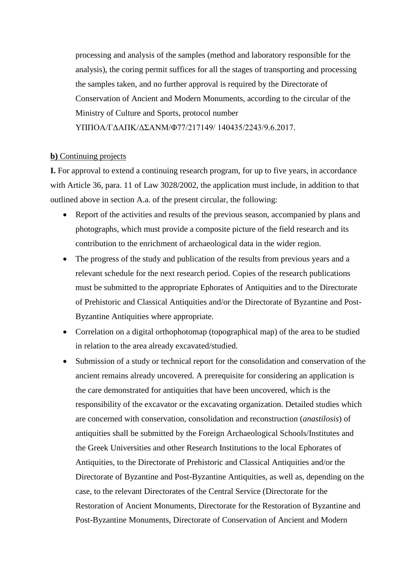processing and analysis of the samples (method and laboratory responsible for the analysis), the coring permit suffices for all the stages of transporting and processing the samples taken, and no further approval is required by the Directorate of Conservation of Ancient and Modern Monuments, according to the circular of the Ministry of Culture and Sports, protocol number

ΥΠΠΟΑ/ΓΔΑΠΚ/ΔΣΑΝΜ/Φ77/217149/ 140435/2243/9.6.2017.

#### **b)** Continuing projects

**I.** For approval to extend a continuing research program, for up to five years, in accordance with Article 36, para. 11 of Law 3028/2002, the application must include, in addition to that outlined above in section A.a. of the present circular, the following:

- Report of the activities and results of the previous season, accompanied by plans and photographs, which must provide a composite picture of the field research and its contribution to the enrichment of archaeological data in the wider region.
- The progress of the study and publication of the results from previous years and a relevant schedule for the next research period. Copies of the research publications must be submitted to the appropriate Ephorates of Antiquities and to the Directorate of Prehistoric and Classical Antiquities and/or the Directorate of Byzantine and Post-Byzantine Antiquities where appropriate.
- Correlation on a digital orthophotomap (topographical map) of the area to be studied in relation to the area already excavated/studied.
- Submission of a study or technical report for the consolidation and conservation of the ancient remains already uncovered. A prerequisite for considering an application is the care demonstrated for antiquities that have been uncovered, which is the responsibility of the excavator or the excavating organization. Detailed studies which are concerned with conservation, consolidation and reconstruction (*anastilosis*) of antiquities shall be submitted by the Foreign Archaeological Schools/Institutes and the Greek Universities and other Research Institutions to the local Ephorates of Antiquities, to the Directorate of Prehistoric and Classical Antiquities and/or the Directorate of Byzantine and Post-Byzantine Antiquities, as well as, depending on the case, to the relevant Directorates of the Central Service (Directorate for the Restoration of Ancient Monuments, Directorate for the Restoration of Byzantine and Post-Byzantine Monuments, Directorate of Conservation of Ancient and Modern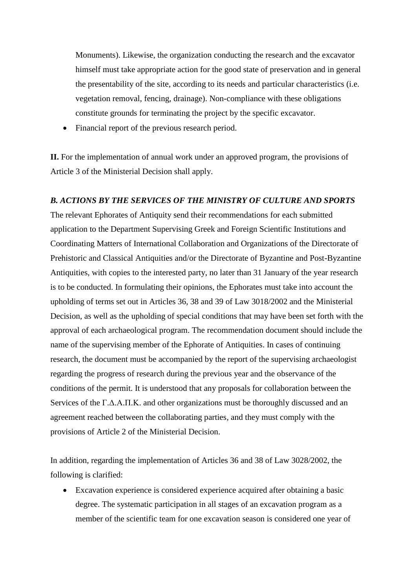Monuments). Likewise, the organization conducting the research and the excavator himself must take appropriate action for the good state of preservation and in general the presentability of the site, according to its needs and particular characteristics (i.e. vegetation removal, fencing, drainage). Non-compliance with these obligations constitute grounds for terminating the project by the specific excavator.

• Financial report of the previous research period.

**II.** For the implementation of annual work under an approved program, the provisions of Article 3 of the Ministerial Decision shall apply.

#### *B. ACTIONS BY THE SERVICES OF THE MINISTRY OF CULTURE AND SPORTS*

The relevant Ephorates of Antiquity send their recommendations for each submitted application to the Department Supervising Greek and Foreign Scientific Institutions and Coordinating Matters of International Collaboration and Organizations of the Directorate of Prehistoric and Classical Antiquities and/or the Directorate of Byzantine and Post-Byzantine Antiquities, with copies to the interested party, no later than 31 January of the year research is to be conducted. In formulating their opinions, the Ephorates must take into account the upholding of terms set out in Articles 36, 38 and 39 of Law 3018/2002 and the Ministerial Decision, as well as the upholding of special conditions that may have been set forth with the approval of each archaeological program. The recommendation document should include the name of the supervising member of the Ephorate of Antiquities. In cases of continuing research, the document must be accompanied by the report of the supervising archaeologist regarding the progress of research during the previous year and the observance of the conditions of the permit. It is understood that any proposals for collaboration between the Services of the Γ.Δ.Α.Π.Κ. and other organizations must be thoroughly discussed and an agreement reached between the collaborating parties, and they must comply with the provisions of Article 2 of the Ministerial Decision.

In addition, regarding the implementation of Articles 36 and 38 of Law 3028/2002, the following is clarified:

 Excavation experience is considered experience acquired after obtaining a basic degree. The systematic participation in all stages of an excavation program as a member of the scientific team for one excavation season is considered one year of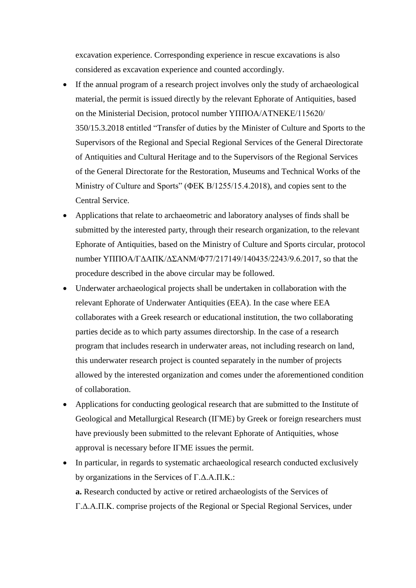excavation experience. Corresponding experience in rescue excavations is also considered as excavation experience and counted accordingly.

- If the annual program of a research project involves only the study of archaeological material, the permit is issued directly by the relevant Ephorate of Antiquities, based on the Ministerial Decision, protocol number ΥΠΠΟΑ/ΑΤΝΕΚΕ/115620/ 350/15.3.2018 entitled "Transfer of duties by the Minister of Culture and Sports to the Supervisors of the Regional and Special Regional Services of the General Directorate of Antiquities and Cultural Heritage and to the Supervisors of the Regional Services of the General Directorate for the Restoration, Museums and Technical Works of the Ministry of Culture and Sports" (ΦΕΚ Β/1255/15.4.2018), and copies sent to the Central Service.
- Applications that relate to archaeometric and laboratory analyses of finds shall be submitted by the interested party, through their research organization, to the relevant Ephorate of Antiquities, based on the Ministry of Culture and Sports circular, protocol number ΥΠΠΟΑ/ΓΔΑΠΚ/ΔΣΑΝΜ/Φ77/217149/140435/2243/9.6.2017, so that the procedure described in the above circular may be followed.
- Underwater archaeological projects shall be undertaken in collaboration with the relevant Ephorate of Underwater Antiquities (EEA). In the case where EEA collaborates with a Greek research or educational institution, the two collaborating parties decide as to which party assumes directorship. In the case of a research program that includes research in underwater areas, not including research on land, this underwater research project is counted separately in the number of projects allowed by the interested organization and comes under the aforementioned condition of collaboration.
- Applications for conducting geological research that are submitted to the Institute of Geological and Metallurgical Research (ΙΓΜΕ) by Greek or foreign researchers must have previously been submitted to the relevant Ephorate of Antiquities, whose approval is necessary before ΙΓΜΕ issues the permit.
- In particular, in regards to systematic archaeological research conducted exclusively by organizations in the Services of Γ.Δ.Α.Π.Κ.: **a.** Research conducted by active or retired archaeologists of the Services of Γ.Δ.Α.Π.Κ. comprise projects of the Regional or Special Regional Services, under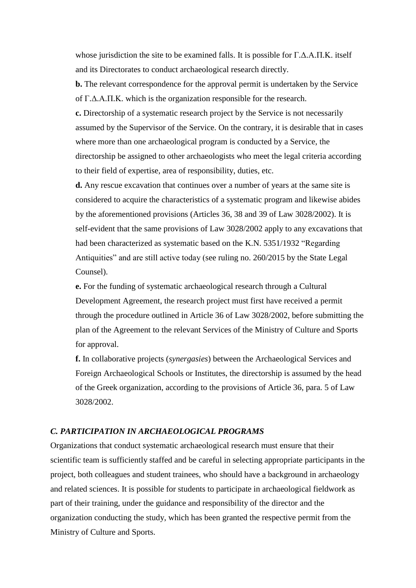whose jurisdiction the site to be examined falls. It is possible for Γ.Δ.Α.Π.Κ. itself and its Directorates to conduct archaeological research directly.

**b.** The relevant correspondence for the approval permit is undertaken by the Service of Γ.Δ.Α.Π.Κ. which is the organization responsible for the research.

**c.** Directorship of a systematic research project by the Service is not necessarily assumed by the Supervisor of the Service. On the contrary, it is desirable that in cases where more than one archaeological program is conducted by a Service, the directorship be assigned to other archaeologists who meet the legal criteria according to their field of expertise, area of responsibility, duties, etc.

**d.** Any rescue excavation that continues over a number of years at the same site is considered to acquire the characteristics of a systematic program and likewise abides by the aforementioned provisions (Articles 36, 38 and 39 of Law 3028/2002). It is self-evident that the same provisions of Law 3028/2002 apply to any excavations that had been characterized as systematic based on the K.N. 5351/1932 "Regarding Antiquities" and are still active today (see ruling no. 260/2015 by the State Legal Counsel).

**e.** For the funding of systematic archaeological research through a Cultural Development Agreement, the research project must first have received a permit through the procedure outlined in Article 36 of Law 3028/2002, before submitting the plan of the Agreement to the relevant Services of the Ministry of Culture and Sports for approval.

**f.** In collaborative projects (*synergasies*) between the Archaeological Services and Foreign Archaeological Schools or Institutes, the directorship is assumed by the head of the Greek organization, according to the provisions of Article 36, para. 5 of Law 3028/2002.

## *C. PARTICIPATION IN ARCHAEOLOGICAL PROGRAMS*

Organizations that conduct systematic archaeological research must ensure that their scientific team is sufficiently staffed and be careful in selecting appropriate participants in the project, both colleagues and student trainees, who should have a background in archaeology and related sciences. It is possible for students to participate in archaeological fieldwork as part of their training, under the guidance and responsibility of the director and the organization conducting the study, which has been granted the respective permit from the Ministry of Culture and Sports.